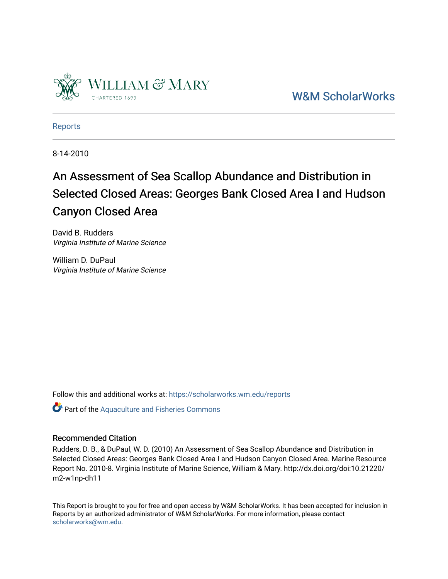

[W&M ScholarWorks](https://scholarworks.wm.edu/) 

[Reports](https://scholarworks.wm.edu/reports)

8-14-2010

# An Assessment of Sea Scallop Abundance and Distribution in Selected Closed Areas: Georges Bank Closed Area I and Hudson Canyon Closed Area

David B. Rudders Virginia Institute of Marine Science

William D. DuPaul Virginia Institute of Marine Science

Follow this and additional works at: [https://scholarworks.wm.edu/reports](https://scholarworks.wm.edu/reports?utm_source=scholarworks.wm.edu%2Freports%2F1434&utm_medium=PDF&utm_campaign=PDFCoverPages)

Part of the [Aquaculture and Fisheries Commons](http://network.bepress.com/hgg/discipline/78?utm_source=scholarworks.wm.edu%2Freports%2F1434&utm_medium=PDF&utm_campaign=PDFCoverPages)

## Recommended Citation

Rudders, D. B., & DuPaul, W. D. (2010) An Assessment of Sea Scallop Abundance and Distribution in Selected Closed Areas: Georges Bank Closed Area I and Hudson Canyon Closed Area. Marine Resource Report No. 2010-8. Virginia Institute of Marine Science, William & Mary. http://dx.doi.org/doi:10.21220/ m2-w1np-dh11

This Report is brought to you for free and open access by W&M ScholarWorks. It has been accepted for inclusion in Reports by an authorized administrator of W&M ScholarWorks. For more information, please contact [scholarworks@wm.edu.](mailto:scholarworks@wm.edu)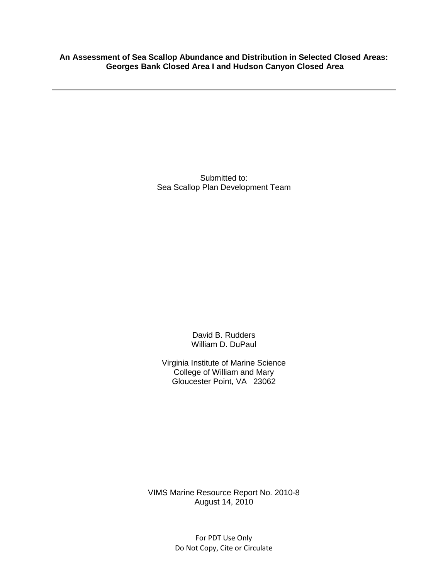**An Assessment of Sea Scallop Abundance and Distribution in Selected Closed Areas: Georges Bank Closed Area I and Hudson Canyon Closed Area**

> Submitted to: Sea Scallop Plan Development Team

> > David B. Rudders William D. DuPaul

Virginia Institute of Marine Science College of William and Mary Gloucester Point, VA 23062

VIMS Marine Resource Report No. 2010-8 August 14, 2010

> For PDT Use Only Do Not Copy, Cite or Circulate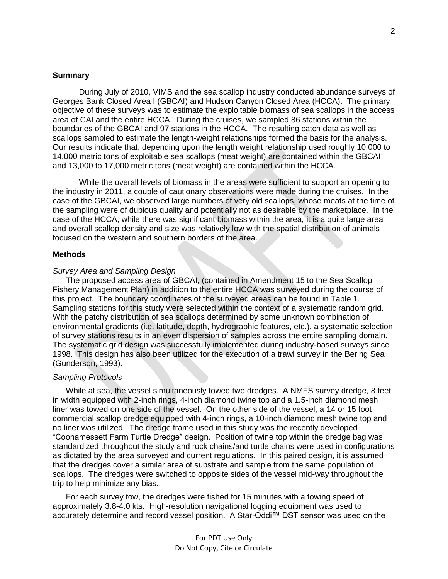#### **Summary**

During July of 2010, VIMS and the sea scallop industry conducted abundance surveys of Georges Bank Closed Area I (GBCAI) and Hudson Canyon Closed Area (HCCA). The primary objective of these surveys was to estimate the exploitable biomass of sea scallops in the access area of CAI and the entire HCCA. During the cruises, we sampled 86 stations within the boundaries of the GBCAI and 97 stations in the HCCA. The resulting catch data as well as scallops sampled to estimate the length-weight relationships formed the basis for the analysis. Our results indicate that, depending upon the length weight relationship used roughly 10,000 to 14,000 metric tons of exploitable sea scallops (meat weight) are contained within the GBCAI and 13,000 to 17,000 metric tons (meat weight) are contained within the HCCA.

While the overall levels of biomass in the areas were sufficient to support an opening to the industry in 2011, a couple of cautionary observations were made during the cruises. In the case of the GBCAI, we observed large numbers of very old scallops, whose meats at the time of the sampling were of dubious quality and potentially not as desirable by the marketplace. In the case of the HCCA, while there was significant biomass within the area, it is a quite large area and overall scallop density and size was relatively low with the spatial distribution of animals focused on the western and southern borders of the area.

### **Methods**

#### *Survey Area and Sampling Design*

The proposed access area of GBCAI, (contained in Amendment 15 to the Sea Scallop Fishery Management Plan) in addition to the entire HCCA was surveyed during the course of this project. The boundary coordinates of the surveyed areas can be found in Table 1. Sampling stations for this study were selected within the context of a systematic random grid. With the patchy distribution of sea scallops determined by some unknown combination of environmental gradients (i.e. latitude, depth, hydrographic features, etc.), a systematic selection of survey stations results in an even dispersion of samples across the entire sampling domain. The systematic grid design was successfully implemented during industry-based surveys since 1998. This design has also been utilized for the execution of a trawl survey in the Bering Sea (Gunderson, 1993).

#### *Sampling Protocols*

While at sea, the vessel simultaneously towed two dredges. A NMFS survey dredge, 8 feet in width equipped with 2-inch rings, 4-inch diamond twine top and a 1.5-inch diamond mesh liner was towed on one side of the vessel. On the other side of the vessel, a 14 or 15 foot commercial scallop dredge equipped with 4-inch rings, a 10-inch diamond mesh twine top and no liner was utilized. The dredge frame used in this study was the recently developed "Coonamessett Farm Turtle Dredge" design. Position of twine top within the dredge bag was standardized throughout the study and rock chains/and turtle chains were used in configurations as dictated by the area surveyed and current regulations. In this paired design, it is assumed that the dredges cover a similar area of substrate and sample from the same population of scallops. The dredges were switched to opposite sides of the vessel mid-way throughout the trip to help minimize any bias.

For each survey tow, the dredges were fished for 15 minutes with a towing speed of approximately 3.8-4.0 kts. High-resolution navigational logging equipment was used to accurately determine and record vessel position. A Star-Oddi™ DST sensor was used on the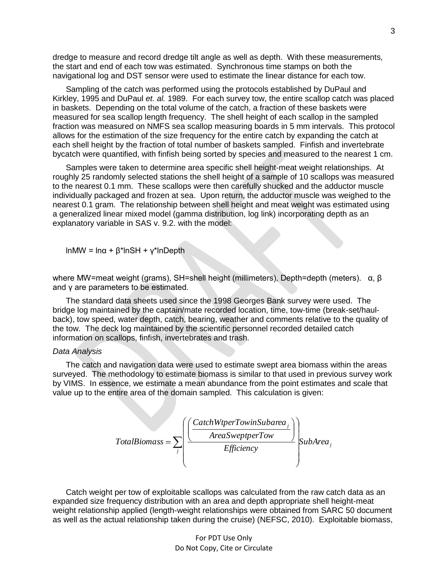dredge to measure and record dredge tilt angle as well as depth. With these measurements, the start and end of each tow was estimated. Synchronous time stamps on both the navigational log and DST sensor were used to estimate the linear distance for each tow.

Sampling of the catch was performed using the protocols established by DuPaul and Kirkley, 1995 and DuPaul *et. al.* 1989. For each survey tow, the entire scallop catch was placed in baskets. Depending on the total volume of the catch, a fraction of these baskets were measured for sea scallop length frequency. The shell height of each scallop in the sampled fraction was measured on NMFS sea scallop measuring boards in 5 mm intervals. This protocol allows for the estimation of the size frequency for the entire catch by expanding the catch at each shell height by the fraction of total number of baskets sampled. Finfish and invertebrate bycatch were quantified, with finfish being sorted by species and measured to the nearest 1 cm.

Samples were taken to determine area specific shell height-meat weight relationships. At roughly 25 randomly selected stations the shell height of a sample of 10 scallops was measured to the nearest 0.1 mm. These scallops were then carefully shucked and the adductor muscle individually packaged and frozen at sea. Upon return, the adductor muscle was weighed to the nearest 0.1 gram. The relationship between shell height and meat weight was estimated using a generalized linear mixed model (gamma distribution, log link) incorporating depth as an explanatory variable in SAS v. 9.2. with the model:

lnMW = lnα + β\*lnSH + γ\*lnDepth

where MW=meat weight (grams), SH=shell height (millimeters), Depth=depth (meters). α, β and γ are parameters to be estimated.

The standard data sheets used since the 1998 Georges Bank survey were used. The bridge log maintained by the captain/mate recorded location, time, tow-time (break-set/haulback), tow speed, water depth, catch, bearing, weather and comments relative to the quality of the tow. The deck log maintained by the scientific personnel recorded detailed catch information on scallops, finfish, invertebrates and trash.

#### *Data Analysis*

The catch and navigation data were used to estimate swept area biomass within the areas surveyed. The methodology to estimate biomass is similar to that used in previous survey work by VIMS. In essence, we estimate a mean abundance from the point estimates and scale that value up to the entire area of the domain sampled. This calculation is given:

$$
TotalBiomass = \sum_{j} \left( \frac{CacheWtperTowinSubarea_j}{AreaSweptperTow} \right) \left\{ \sum_{j} \left( \frac{AreaSweptperTow}{Efficiency} \right) \right\} \left\{ \sum_{j} \left( \frac{Value}{Efficiency} \right) \right\} \left\{ \sum_{j} \left( \frac{Value}{Efficiency} \right) \right\} \left\{ \sum_{j} \left( \frac{Value}{Efficiency} \right) \right\} \left\{ \sum_{j} \left( \frac{Value}{Efficiency} \right) \right\} \left\{ \sum_{j} \left( \frac{Value}{Efficiency} \right) \right\} \left\{ \sum_{j} \left( \frac{Value}{Efficiency} \right) \right\} \left\{ \sum_{j} \left( \frac{Value}{Efficiency} \right) \right\} \left\{ \sum_{j} \left( \frac{Value}{Efficiency} \right) \right\} \left\{ \sum_{j} \left( \frac{Value}{Efficiency} \right) \right\} \left\{ \sum_{j} \left( \frac{Value}{Efficiency} \right) \right\} \left\{ \sum_{j} \left( \frac{Value}{Efficiency} \right) \right\} \left\{ \sum_{j} \left( \frac{Value}{Efficiency} \right) \right\} \left\{ \sum_{j} \left( \frac{Value}{Efficiency} \right) \right\} \left\{ \sum_{j} \left( \frac{Value}{Efficiency} \right) \right\} \left\{ \sum_{j} \left( \frac{Value}{Efficiency} \right) \right\} \left\{ \sum_{j} \left( \frac{Value}{Efficiency} \right) \right\} \left\{ \sum_{j} \left( \frac{Value}{Efficiency} \right) \right\} \left\{ \sum_{j} \left( \frac{Value}{Efficiency} \right) \right\} \left\{ \sum_{j} \left( \frac{Value}{Efficiency} \right) \right\} \left\{ \sum_{j} \left( \frac{Value}{Efficiency} \right) \right\} \left\{ \sum_{j} \left( \frac{Value}{Efficiency} \right) \right\} \left\{ \sum_{j} \left( \frac{Value}{Efficiency} \right) \right\} \left\{ \sum_{j} \left( \frac{Value}{Efficiency} \right) \right\} \left\{ \sum_{j} \left( \frac{Value}{Efficiency} \right) \right\} \left\{ \sum_{j} \left( \frac{
$$

Catch weight per tow of exploitable scallops was calculated from the raw catch data as an expanded size frequency distribution with an area and depth appropriate shell height-meat weight relationship applied (length-weight relationships were obtained from SARC 50 document as well as the actual relationship taken during the cruise) (NEFSC, 2010). Exploitable biomass,

> For PDT Use Only Do Not Copy, Cite or Circulate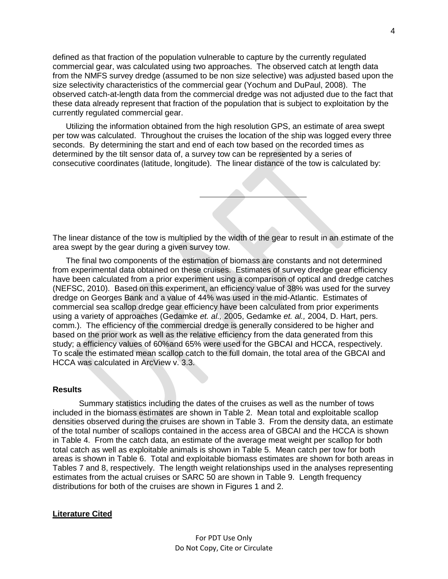defined as that fraction of the population vulnerable to capture by the currently regulated commercial gear, was calculated using two approaches. The observed catch at length data from the NMFS survey dredge (assumed to be non size selective) was adjusted based upon the size selectivity characteristics of the commercial gear (Yochum and DuPaul, 2008). The observed catch-at-length data from the commercial dredge was not adjusted due to the fact that these data already represent that fraction of the population that is subject to exploitation by the currently regulated commercial gear.

Utilizing the information obtained from the high resolution GPS, an estimate of area swept per tow was calculated. Throughout the cruises the location of the ship was logged every three seconds. By determining the start and end of each tow based on the recorded times as determined by the tilt sensor data of, a survey tow can be represented by a series of consecutive coordinates (latitude, longitude). The linear distance of the tow is calculated by:

The linear distance of the tow is multiplied by the width of the gear to result in an estimate of the area swept by the gear during a given survey tow.

The final two components of the estimation of biomass are constants and not determined from experimental data obtained on these cruises. Estimates of survey dredge gear efficiency have been calculated from a prior experiment using a comparison of optical and dredge catches (NEFSC, 2010). Based on this experiment, an efficiency value of 38% was used for the survey dredge on Georges Bank and a value of 44% was used in the mid-Atlantic. Estimates of commercial sea scallop dredge gear efficiency have been calculated from prior experiments using a variety of approaches (Gedamke *et. al.,* 2005, Gedamke *et. al.,* 2004, D. Hart, pers. comm.). The efficiency of the commercial dredge is generally considered to be higher and based on the prior work as well as the relative efficiency from the data generated from this study; a efficiency values of 60%and 65% were used for the GBCAI and HCCA, respectively. To scale the estimated mean scallop catch to the full domain, the total area of the GBCAI and HCCA was calculated in ArcView v. 3.3.

## **Results**

Summary statistics including the dates of the cruises as well as the number of tows included in the biomass estimates are shown in Table 2. Mean total and exploitable scallop densities observed during the cruises are shown in Table 3. From the density data, an estimate of the total number of scallops contained in the access area of GBCAI and the HCCA is shown in Table 4. From the catch data, an estimate of the average meat weight per scallop for both total catch as well as exploitable animals is shown in Table 5. Mean catch per tow for both areas is shown in Table 6. Total and exploitable biomass estimates are shown for both areas in Tables 7 and 8, respectively. The length weight relationships used in the analyses representing estimates from the actual cruises or SARC 50 are shown in Table 9. Length frequency distributions for both of the cruises are shown in Figures 1 and 2.

#### **Literature Cited**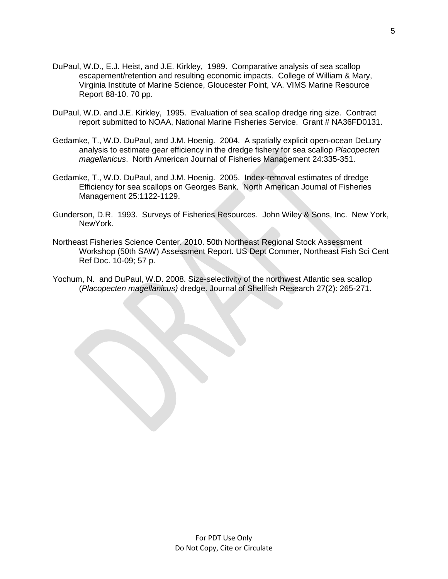- DuPaul, W.D., E.J. Heist, and J.E. Kirkley, 1989. Comparative analysis of sea scallop escapement/retention and resulting economic impacts. College of William & Mary, Virginia Institute of Marine Science, Gloucester Point, VA. VIMS Marine Resource Report 88-10. 70 pp.
- DuPaul, W.D. and J.E. Kirkley, 1995. Evaluation of sea scallop dredge ring size. Contract report submitted to NOAA, National Marine Fisheries Service. Grant # NA36FD0131.
- Gedamke, T., W.D. DuPaul, and J.M. Hoenig. 2004. A spatially explicit open-ocean DeLury analysis to estimate gear efficiency in the dredge fishery for sea scallop *Placopecten magellanicus*. North American Journal of Fisheries Management 24:335-351.
- Gedamke, T., W.D. DuPaul, and J.M. Hoenig. 2005. Index-removal estimates of dredge Efficiency for sea scallops on Georges Bank. North American Journal of Fisheries Management 25:1122-1129.
- Gunderson, D.R. 1993. Surveys of Fisheries Resources. John Wiley & Sons, Inc. New York, NewYork.
- Northeast Fisheries Science Center. 2010. 50th Northeast Regional Stock Assessment Workshop (50th SAW) Assessment Report. US Dept Commer, Northeast Fish Sci Cent Ref Doc. 10-09; 57 p.
- Yochum, N. and DuPaul, W.D. 2008. Size-selectivity of the northwest Atlantic sea scallop (*Placopecten magellanicus)* dredge. Journal of Shellfish Research 27(2): 265-271.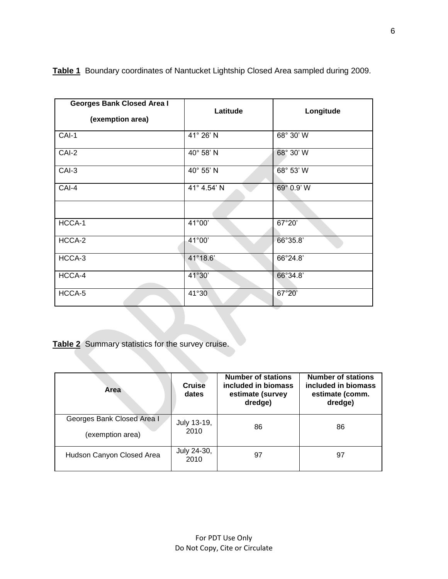| <b>Georges Bank Closed Area I</b><br>(exemption area) | Latitude    | Longitude       |  |
|-------------------------------------------------------|-------------|-----------------|--|
| CAI-1                                                 | 41° 26' N   | 68° 30' W       |  |
| CAI-2                                                 | 40° 58' N   | 68° 30' W       |  |
| CAI-3                                                 | 40° 55' N   | 68° 53' W       |  |
| CAI-4                                                 | 41° 4.54' N | 69° 0.9' W      |  |
|                                                       |             |                 |  |
| HCCA-1                                                | 41°00'      | 67°20'          |  |
| HCCA-2                                                | 41°00'      | 66°35.8'        |  |
| HCCA-3                                                | 41°18.6'    | 66°24.8'        |  |
| HCCA-4                                                | 41°30'      | 66°34.8'        |  |
| HCCA-5                                                | 41°30       | $67^{\circ}20'$ |  |

**Table 1** Boundary coordinates of Nantucket Lightship Closed Area sampled during 2009.

**Table 2** Summary statistics for the survey cruise.

| Area                                           | Cruise<br>dates     | <b>Number of stations</b><br>included in biomass<br>estimate (survey<br>dredge) | <b>Number of stations</b><br>included in biomass<br>estimate (comm.<br>dredge) |
|------------------------------------------------|---------------------|---------------------------------------------------------------------------------|--------------------------------------------------------------------------------|
| Georges Bank Closed Area I<br>(exemption area) | July 13-19,<br>2010 | 86                                                                              | 86                                                                             |
| Hudson Canyon Closed Area                      | July 24-30,<br>2010 | 97                                                                              | 97                                                                             |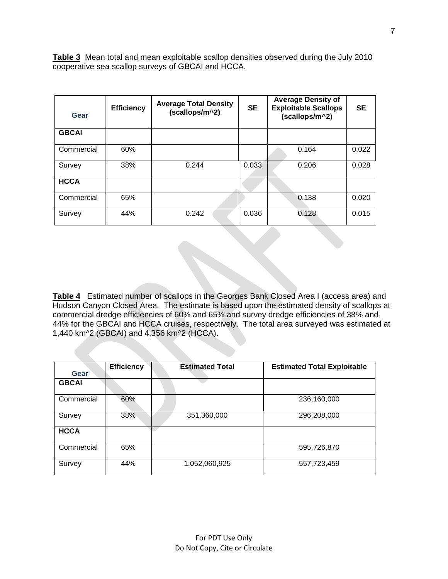**Table 3** Mean total and mean exploitable scallop densities observed during the July 2010 cooperative sea scallop surveys of GBCAI and HCCA.

| Gear         | <b>Efficiency</b> | <b>Average Total Density</b><br>(scallops/m^2) | <b>SE</b> | <b>Average Density of</b><br><b>Exploitable Scallops</b><br>(scallops/m^2) | <b>SE</b> |
|--------------|-------------------|------------------------------------------------|-----------|----------------------------------------------------------------------------|-----------|
| <b>GBCAI</b> |                   |                                                |           |                                                                            |           |
| Commercial   | 60%               |                                                |           | 0.164                                                                      | 0.022     |
| Survey       | 38%               | 0.244                                          | 0.033     | 0.206                                                                      | 0.028     |
| <b>HCCA</b>  |                   |                                                |           |                                                                            |           |
| Commercial   | 65%               |                                                |           | 0.138                                                                      | 0.020     |
| Survey       | 44%               | 0.242                                          | 0.036     | 0.128                                                                      | 0.015     |

**Table 4** Estimated number of scallops in the Georges Bank Closed Area I (access area) and Hudson Canyon Closed Area. The estimate is based upon the estimated density of scallops at commercial dredge efficiencies of 60% and 65% and survey dredge efficiencies of 38% and 44% for the GBCAI and HCCA cruises, respectively. The total area surveyed was estimated at 1,440 km^2 (GBCAI) and 4,356 km^2 (HCCA).

|              | <b>Efficiency</b> | <b>Estimated Total</b> | <b>Estimated Total Exploitable</b> |
|--------------|-------------------|------------------------|------------------------------------|
| Gear         |                   |                        |                                    |
| <b>GBCAI</b> |                   |                        |                                    |
| Commercial   | 60%               |                        | 236,160,000                        |
| Survey       | 38%               | 351,360,000            | 296,208,000                        |
| <b>HCCA</b>  |                   |                        |                                    |
| Commercial   | 65%               |                        | 595,726,870                        |
| Survey       | 44%               | 1,052,060,925          | 557,723,459                        |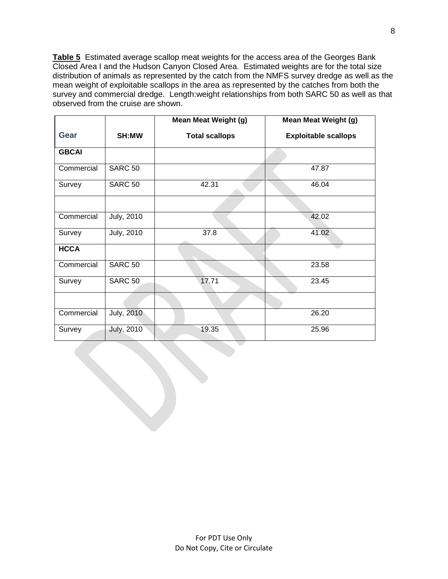**Table 5** Estimated average scallop meat weights for the access area of the Georges Bank Closed Area I and the Hudson Canyon Closed Area. Estimated weights are for the total size distribution of animals as represented by the catch from the NMFS survey dredge as well as the mean weight of exploitable scallops in the area as represented by the catches from both the survey and commercial dredge. Length:weight relationships from both SARC 50 as well as that observed from the cruise are shown.

|              |                   | <b>Mean Meat Weight (g)</b> | <b>Mean Meat Weight (g)</b> |
|--------------|-------------------|-----------------------------|-----------------------------|
| <b>Gear</b>  | SH:MW             | <b>Total scallops</b>       | <b>Exploitable scallops</b> |
| <b>GBCAI</b> |                   |                             |                             |
| Commercial   | <b>SARC 50</b>    |                             | 47.87                       |
| Survey       | <b>SARC 50</b>    | 42.31                       | 46.04                       |
|              |                   |                             |                             |
| Commercial   | <b>July, 2010</b> |                             | 42.02                       |
| Survey       | July, 2010        | 37.8                        | 41.02                       |
| <b>HCCA</b>  |                   |                             |                             |
| Commercial   | <b>SARC 50</b>    |                             | 23.58                       |
| Survey       | <b>SARC 50</b>    | 17.71                       | 23.45                       |
|              |                   |                             |                             |
| Commercial   | <b>July, 2010</b> |                             | 26.20                       |
| Survey       | <b>July, 2010</b> | 19.35                       | 25.96                       |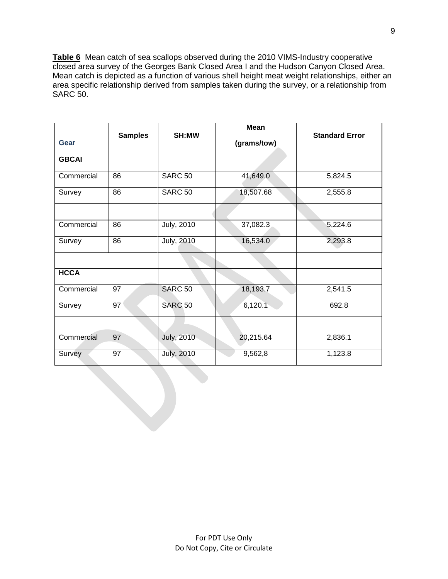**Table 6** Mean catch of sea scallops observed during the 2010 VIMS-Industry cooperative closed area survey of the Georges Bank Closed Area I and the Hudson Canyon Closed Area. Mean catch is depicted as a function of various shell height meat weight relationships, either an area specific relationship derived from samples taken during the survey, or a relationship from SARC 50.

| <b>Gear</b>  | <b>Samples</b> | SH:MW             | <b>Mean</b><br>(grams/tow) | <b>Standard Error</b> |
|--------------|----------------|-------------------|----------------------------|-----------------------|
| <b>GBCAI</b> |                |                   |                            |                       |
| Commercial   | 86             | <b>SARC 50</b>    | 41,649.0                   | 5,824.5               |
| Survey       | 86             | <b>SARC 50</b>    | 18,507.68                  | 2,555.8               |
| Commercial   | 86             | <b>July, 2010</b> | 37,082.3                   | 5,224.6               |
| Survey       | 86             | <b>July, 2010</b> | 16,534.0                   | 2,293.8               |
| <b>HCCA</b>  |                |                   |                            |                       |
| Commercial   | 97             | <b>SARC 50</b>    | 18,193.7                   | 2,541.5               |
| Survey       | 97             | <b>SARC 50</b>    | 6,120.1                    | 692.8                 |
|              |                |                   |                            |                       |
| Commercial   | 97             | July, 2010        | 20,215.64                  | 2,836.1               |
| Survey       | 97             | <b>July, 2010</b> | 9,562,8                    | 1,123.8               |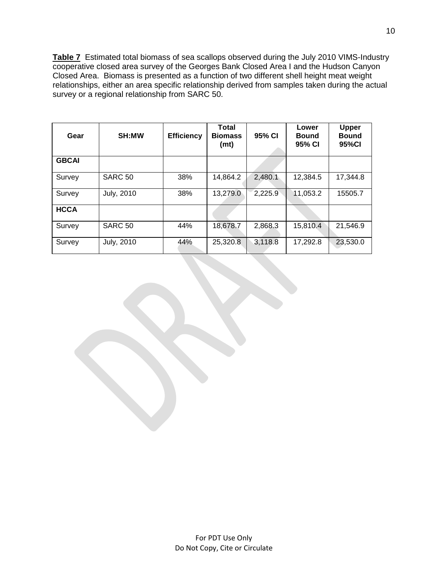**Table 7** Estimated total biomass of sea scallops observed during the July 2010 VIMS-Industry cooperative closed area survey of the Georges Bank Closed Area I and the Hudson Canyon Closed Area. Biomass is presented as a function of two different shell height meat weight relationships, either an area specific relationship derived from samples taken during the actual survey or a regional relationship from SARC 50.

| Gear         | <b>SH:MW</b>      | <b>Efficiency</b> | <b>Total</b><br><b>Biomass</b><br>(mt) | 95% CI  | Lower<br><b>Bound</b><br>95% CI | <b>Upper</b><br><b>Bound</b><br>95%CI |
|--------------|-------------------|-------------------|----------------------------------------|---------|---------------------------------|---------------------------------------|
| <b>GBCAI</b> |                   |                   |                                        |         |                                 |                                       |
| Survey       | <b>SARC 50</b>    | 38%               | 14,864.2                               | 2,480.1 | 12,384.5                        | 17,344.8                              |
| Survey       | <b>July, 2010</b> | 38%               | 13,279.0                               | 2,225.9 | 11,053.2                        | 15505.7                               |
| <b>HCCA</b>  |                   |                   |                                        |         |                                 |                                       |
| Survey       | <b>SARC 50</b>    | 44%               | 18,678.7                               | 2,868.3 | 15,810.4                        | 21,546.9                              |
| Survey       | <b>July, 2010</b> | 44%               | 25,320.8                               | 3,118.8 | 17,292.8                        | 23,530.0                              |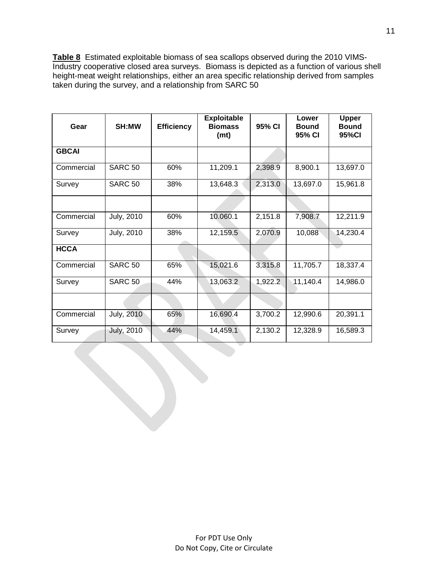**Table 8** Estimated exploitable biomass of sea scallops observed during the 2010 VIMS-Industry cooperative closed area surveys. Biomass is depicted as a function of various shell height-meat weight relationships, either an area specific relationship derived from samples taken during the survey, and a relationship from SARC 50

| Gear         | <b>SH:MW</b>      | <b>Efficiency</b> | <b>Exploitable</b><br><b>Biomass</b><br>(mt) | 95% CI  | Lower<br><b>Bound</b><br>95% CI | <b>Upper</b><br><b>Bound</b><br>95%CI |
|--------------|-------------------|-------------------|----------------------------------------------|---------|---------------------------------|---------------------------------------|
| <b>GBCAI</b> |                   |                   |                                              |         |                                 |                                       |
| Commercial   | <b>SARC 50</b>    | 60%               | 11,209.1                                     | 2,398.9 | 8,900.1                         | 13,697.0                              |
| Survey       | <b>SARC 50</b>    | 38%               | 13,648.3                                     | 2,313.0 | 13,697.0                        | 15,961.8                              |
|              |                   |                   |                                              |         |                                 |                                       |
| Commercial   | <b>July, 2010</b> | 60%               | 10.060.1                                     | 2,151.8 | 7,908.7                         | 12,211.9                              |
| Survey       | <b>July, 2010</b> | 38%               | 12,159.5                                     | 2,070.9 | 10,088                          | 14,230.4                              |
| <b>HCCA</b>  |                   |                   |                                              |         |                                 |                                       |
| Commercial   | <b>SARC 50</b>    | 65%               | 15,021.6                                     | 3,315.8 | 11,705.7                        | 18,337.4                              |
| Survey       | <b>SARC 50</b>    | 44%               | 13,063.2                                     | 1,922.2 | 11,140.4                        | 14,986.0                              |
|              |                   |                   |                                              |         |                                 |                                       |
| Commercial   | <b>July, 2010</b> | 65%               | 16,690.4                                     | 3,700.2 | 12,990.6                        | 20,391.1                              |
| Survey       | <b>July, 2010</b> | 44%               | 14,459.1                                     | 2,130.2 | 12,328.9                        | 16,589.3                              |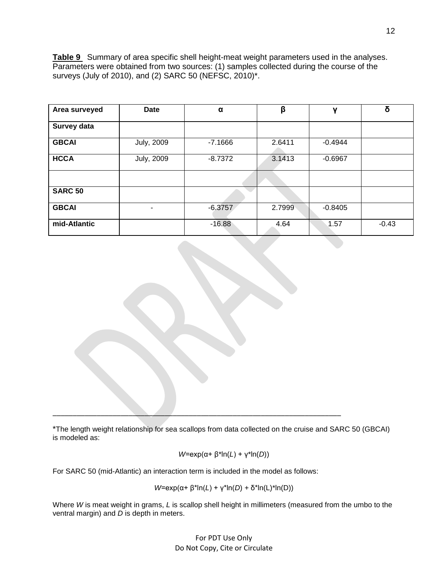**Table 9** Summary of area specific shell height-meat weight parameters used in the analyses. Parameters were obtained from two sources: (1) samples collected during the course of the surveys (July of 2010), and (2) SARC 50 (NEFSC, 2010)\*.

| Area surveyed  | <b>Date</b>       | α         | β      | ν         | δ       |
|----------------|-------------------|-----------|--------|-----------|---------|
| Survey data    |                   |           |        |           |         |
| <b>GBCAI</b>   | <b>July, 2009</b> | $-7.1666$ | 2.6411 | $-0.4944$ |         |
| <b>HCCA</b>    | <b>July, 2009</b> | $-8.7372$ | 3.1413 | $-0.6967$ |         |
|                |                   |           |        |           |         |
| <b>SARC 50</b> |                   |           |        |           |         |
| <b>GBCAI</b>   |                   | $-6.3757$ | 2.7999 | $-0.8405$ |         |
| mid-Atlantic   |                   | $-16.88$  | 4.64   | 1.57      | $-0.43$ |

\*The length weight relationship for sea scallops from data collected on the cruise and SARC 50 (GBCAI) is modeled as:

$$
W=\exp(\alpha+\beta^*ln(L)+\gamma^*ln(D))
$$

For SARC 50 (mid-Atlantic) an interaction term is included in the model as follows:

\_\_\_\_\_\_\_\_\_\_\_\_\_\_\_\_\_\_\_\_\_\_\_\_\_\_\_\_\_\_\_\_\_\_\_\_\_\_\_\_\_\_\_\_\_\_\_\_\_\_\_\_\_\_\_\_\_\_\_\_\_\_\_\_\_\_\_\_\_\_\_\_

*W*=exp(α+ β\*ln(*L*) + γ\*ln(*D*) + δ\*ln(L)\*ln(D))

Where *W* is meat weight in grams, *L* is scallop shell height in millimeters (measured from the umbo to the ventral margin) and *D* is depth in meters.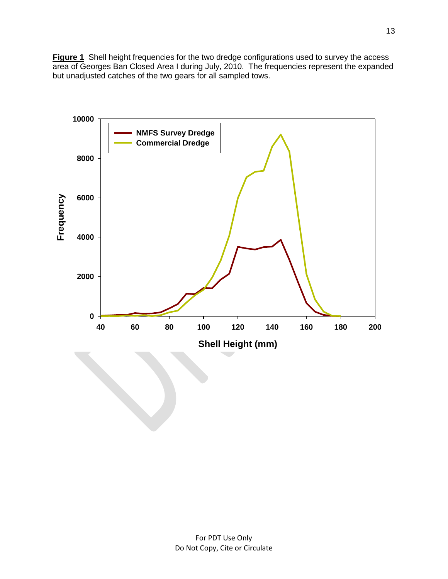**Figure 1** Shell height frequencies for the two dredge configurations used to survey the access area of Georges Ban Closed Area I during July, 2010. The frequencies represent the expanded but unadjusted catches of the two gears for all sampled tows.